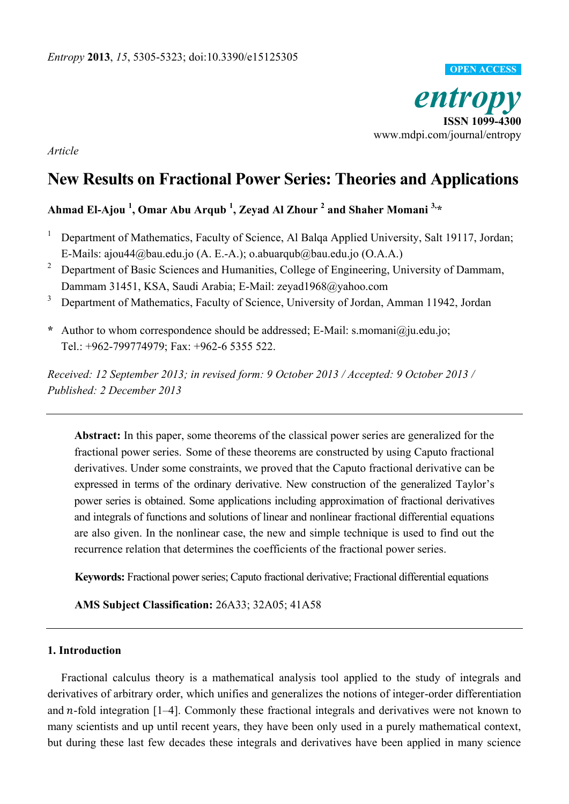

*Article* 

# **New Results on Fractional Power Series: Theories and Applications**

## **Ahmad El-Ajou <sup>1</sup> , Omar Abu Arqub <sup>1</sup> , Zeyad Al Zhour <sup>2</sup> and [Shaher Momani](http://www.sciencedirect.com/science/article/pii/S2090447913000038) 3,\***

- 1 Department of Mathematics, [Faculty of Science,](http://science.ju.edu.jo/Home.aspx) Al Balqa Applied University, Salt 19117, Jordan; E-Mails: [ajou44@bau.edu.jo](mailto:ajou44@bau.edu.jo) (A. E.-A.); [o.abuarqub@bau.edu.jo](mailto:o.abuarqub@bau.edu.jo) (O.A.A.)
- 2 Department of Basic Sciences and Humanities, College of Engineering, University of Dammam, Dammam 31451, KSA, [Saudi Arabia;](http://en.wikipedia.org/wiki/Saudi_Arabia) E-Mail: zeyad1968@yahoo.com
- <sup>3</sup> Department of Mathematics, Faculty of Science, University of Jordan, Amman 11942, Jordan
- **\*** Author to whom correspondence should be addressed; E-Mail: s.momani@ju.edu.jo; Tel.: +962-799774979; Fax: +962-6 5355 522.

*Received: 12 September 2013; in revised form: 9 October 2013 / Accepted: 9 October 2013 / Published: 2 December 2013* 

**Abstract:** In this paper, some theorems of the classical power series are generalized for the fractional power series. Some of these theorems are constructed by using Caputo fractional derivatives. Under some constraints, we proved that the Caputo fractional derivative can be expressed in terms of the ordinary derivative. New construction of the generalized Taylor's power series is obtained. Some applications including approximation of fractional derivatives and integrals of functions and solutions of linear and nonlinear fractional differential equations are also given. In the nonlinear case, the new and simple technique is used to find out the recurrence relation that determines the coefficients of the fractional power series.

**Keywords:** Fractional power series; Caputo fractional derivative; Fractional differential equations

**AMS Subject Classification:** 26A33; 32A05; 41A58

### **1. Introduction**

Fractional calculus theory is a mathematical analysis tool applied to the study of integrals and derivatives of arbitrary order, which unifies and generalizes the notions of integer-order differentiation and  $n$ -fold integration  $[1-4]$ . Commonly these fractional integrals and derivatives were not known to many scientists and up until recent years, they have been only used in a purely mathematical context, but during these last few decades these integrals and derivatives have been applied in many science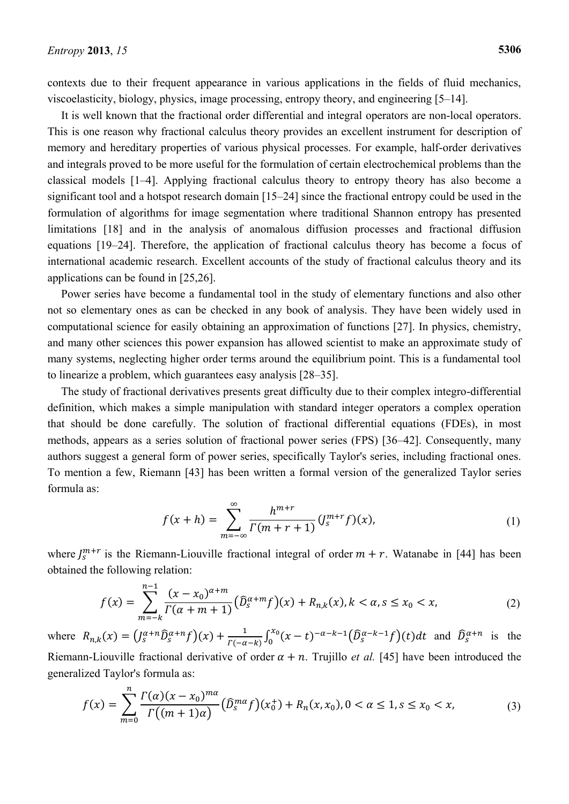contexts due to their frequent appearance in various applications in the fields of fluid mechanics, viscoelasticity, biology, physics, image processing, entropy theory, and engineering [5–14].

It is well known that the fractional order differential and integral operators are non-local operators. This is one reason why fractional calculus theory provides an excellent instrument for description of memory and hereditary properties of various physical processes. For example, half-order derivatives and integrals proved to be more useful for the formulation of certain electrochemical problems than the classical models [1–4]. Applying fractional calculus theory to entropy theory has also become a significant tool and a hotspot research domain [15–24] since the fractional entropy could be used in the formulation of algorithms for image segmentation where traditional Shannon entropy has presented limitations [18] and in the analysis of anomalous diffusion processes and fractional diffusion equations [19–24]. Therefore, the application of fractional calculus theory has become a focus of international academic research. Excellent accounts of the study of fractional calculus theory and its applications can be found in [25,26].

Power series have become a fundamental tool in the study of elementary functions and also other not so elementary ones as can be checked in any book of analysis. They have been widely used in computational science for easily obtaining an approximation of functions [27]. In physics, chemistry, and many other sciences this power expansion has allowed scientist to make an approximate study of many systems, neglecting higher order terms around the equilibrium point. This is a fundamental tool to linearize a problem, which guarantees easy analysis [28–35].

The study of fractional derivatives presents great difficulty due to their complex integro-differential definition, which makes a simple manipulation with standard integer operators a complex operation that should be done carefully. The solution of fractional differential equations (FDEs), in most methods, appears as a series solution of fractional power series (FPS) [36–42]. Consequently, many authors suggest a general form of power series, specifically Taylor's series, including fractional ones. To mention a few, Riemann [43] has been written a formal version of the generalized Taylor series formula as:

$$
f(x+h) = \sum_{m=-\infty}^{\infty} \frac{h^{m+r}}{\Gamma(m+r+1)} (J_s^{m+r} f)(x),
$$
 (1)

where  $J_s^{m+r}$  is the Riemann-Liouville fractional integral of order  $m+r$ . Watanabe in [44] has been obtained the following relation:

$$
f(x) = \sum_{m=-k}^{n-1} \frac{(x - x_0)^{\alpha+m}}{\Gamma(\alpha+m+1)} (\widehat{D}_s^{\alpha+m} f)(x) + R_{n,k}(x), k < \alpha, s \le x_0 < x,
$$
 (2)

where  $R_{n,k}(x) = (J_s^{\alpha+n} \widehat{D}_s^{\alpha+n} f)(x) + \frac{1}{r(s)}$  $\frac{1}{\Gamma(-\alpha-k)} \int_0^{\alpha} (x-t)^{-\alpha-k-1} (\tilde{D}_s^{\alpha})$  $\int_0^{\infty} (x-t)^{-\alpha-k-1} (\tilde{D}_s^{\alpha-k-1} f)(t) dt$  and  $\tilde{D}_s^{\alpha+n}$  is the Riemann-Liouville fractional derivative of order  $\alpha + n$ . Trujillo *et al.* [45] have been introduced the generalized Taylor's formula as:

$$
f(x) = \sum_{m=0}^{n} \frac{\Gamma(\alpha)(x - x_0)^{m\alpha}}{\Gamma((m+1)\alpha)} \left(\widehat{D}_s^{m\alpha} f\right)(x_0^+) + R_n(x, x_0), 0 < \alpha \le 1, s \le x_0 < x,\tag{3}
$$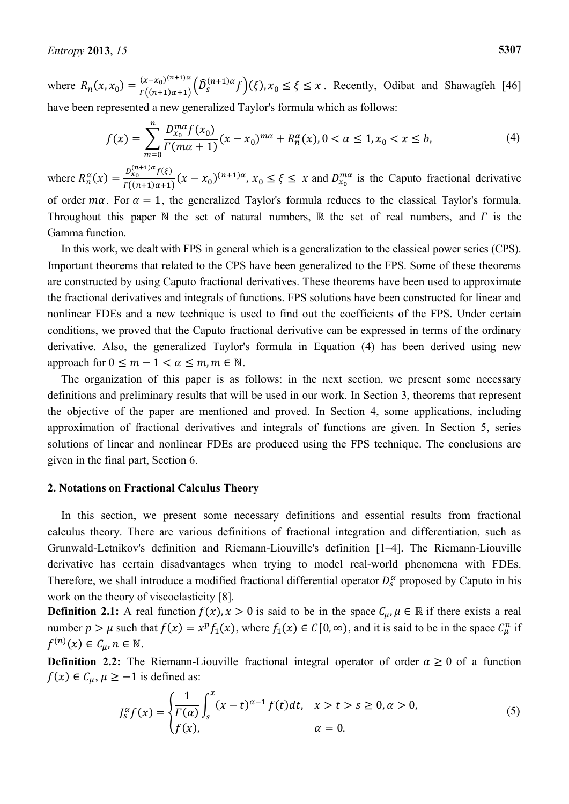where  $R_n(x, x_0) = \frac{(x - x_0)^0}{\Gamma((n+1))}$  $\Gamma((n+1)\alpha+1)\binom{D}{s}$  $\int_{s}^{(n+1)\alpha} f(x) f(x) dx \leq \xi \leq x$ . Recently, Odibat and Shawagfeh [46] have been represented a new generalized Taylor's formula which as follows:

$$
f(x) = \sum_{m=0}^{n} \frac{D_{x_0}^{m\alpha} f(x_0)}{\Gamma(m\alpha + 1)} (x - x_0)^{m\alpha} + R_n^{\alpha}(x), 0 < \alpha \le 1, x_0 < x \le b,\tag{4}
$$

where  $R_n^{\alpha}(x) = \frac{D_{x_0}^{(n+1)\alpha}f}{F(x+1)x}$  $\frac{f(x_0, y_0, y_0)}{f((n+1)\alpha+1)}(x-x_0)^{(n+1)\alpha}, x_0 \leq \xi \leq x$  and  $D_{x_0}^{m\alpha}$  is the Caputo fractional derivative of order  $m\alpha$ . For  $\alpha = 1$ , the generalized Taylor's formula reduces to the classical Taylor's formula. Throughout this paper N the set of natural numbers,  $\mathbb R$  the set of real numbers, and  $\Gamma$  is the Gamma function.

In this work, we dealt with FPS in general which is a generalization to the classical power series (CPS). Important theorems that related to the CPS have been generalized to the FPS. Some of these theorems are constructed by using Caputo fractional derivatives. These theorems have been used to approximate the fractional derivatives and integrals of functions. FPS solutions have been constructed for linear and nonlinear FDEs and a new technique is used to find out the coefficients of the FPS. Under certain conditions, we proved that the Caputo fractional derivative can be expressed in terms of the ordinary derivative. Also, the generalized Taylor's formula in Equation (4) has been derived using new approach for  $0 \le m - 1 < \alpha \le m, m \in \mathbb{N}$ .

The organization of this paper is as follows: in the next section, we present some necessary definitions and preliminary results that will be used in our work. In Section 3, theorems that represent the objective of the paper are mentioned and proved. In Section 4, some applications, including approximation of fractional derivatives and integrals of functions are given. In Section 5, series solutions of linear and nonlinear FDEs are produced using the FPS technique. The conclusions are given in the final part, Section 6.

### **2. Notations on Fractional Calculus Theory**

In this section, we present some necessary definitions and essential results from fractional calculus theory. There are various definitions of fractional integration and differentiation, such as Grunwald-Letnikov's definition and Riemann-Liouville's definition [1–4]. The Riemann-Liouville derivative has certain disadvantages when trying to model real-world phenomena with FDEs. Therefore, we shall introduce a modified fractional differential operator  $D_s^{\alpha}$  proposed by Caputo in his work on the theory of viscoelasticity [8].

**Definition 2.1:** A real function  $f(x)$ ,  $x > 0$  is said to be in the space  $C_u$ ,  $\mu \in \mathbb{R}$  if there exists a real number  $p > \mu$  such that  $f(x) = x^p f_1(x)$ , where  $f_1(x) \in C[0, \infty)$ , and it is said to be in the space  $C_{\mu}^n$  if  $f^{(n)}(x) \in \mathcal{C}_{\mu}, n \in \mathbb{N}.$ 

**Definition 2.2:** The Riemann-Liouville fractional integral operator of order  $\alpha \ge 0$  of a function  $f(x) \in C_{\mu}$ ,  $\mu \ge -1$  is defined as:

$$
J_{s}^{\alpha} f(x) = \begin{cases} \frac{1}{\Gamma(\alpha)} \int_{s}^{x} (x - t)^{\alpha - 1} f(t) dt, & x > t > s \ge 0, \alpha > 0, \\ f(x), & \alpha = 0. \end{cases}
$$
(5)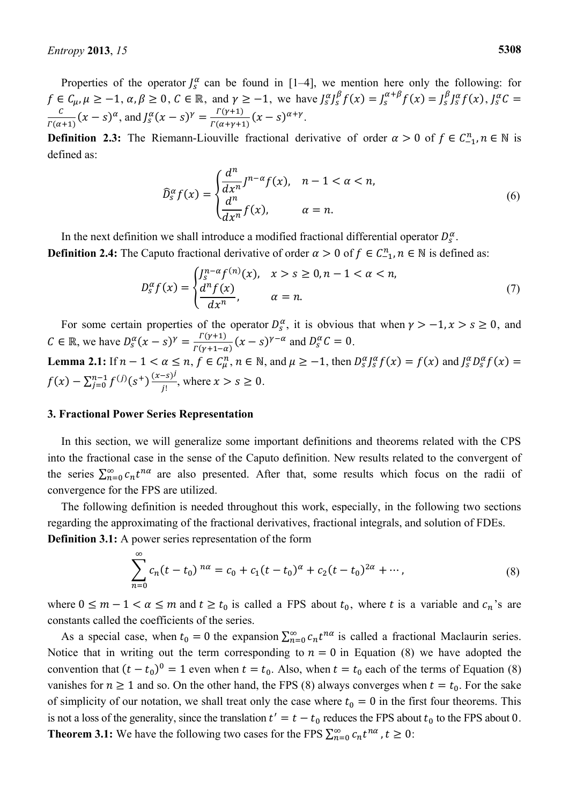Properties of the operator  $J_s^{\alpha}$  can be found in [1–4], we mention here only the following: for  $f \in C_{\mu}, \mu \ge -1, \alpha, \beta \ge 0, C \in \mathbb{R}$ , and  $\gamma \ge -1$ , we have  $J_{S}^{\alpha}J_{S}^{\beta}f(x) = J_{S}^{\alpha+\beta}f(x) = J_{S}^{\beta}J_{S}^{\alpha}f(x)$ ,  $J_{S}^{\alpha}$  $\overline{c}$  $\frac{c}{\Gamma(\alpha+1)}(x-s)^\alpha$ , and  $J_s^\alpha(x-s)^\gamma = \frac{r}{\Gamma(\alpha+1)}$  $\frac{f(\gamma+1)}{f(\alpha+\gamma+1)}(x-s)^{\alpha+\gamma}.$ 

**Definition 2.3:** The Riemann-Liouville fractional derivative of order  $\alpha > 0$  of  $f \in C_{-1}^n$ ,  $n \in \mathbb{N}$  is defined as:

$$
\widehat{D}_{S}^{\alpha}f(x) = \begin{cases} \frac{d^{n}}{dx^{n}}J^{n-\alpha}f(x), & n-1 < \alpha < n, \\ \frac{d^{n}}{dx^{n}}f(x), & \alpha = n. \end{cases}
$$
\n(6)

In the next definition we shall introduce a modified fractional differential operator  $D_s^{\alpha}$ . **Definition 2.4:** The Caputo fractional derivative of order  $\alpha > 0$  of  $f \in C_{-1}^n$ ,  $n \in \mathbb{N}$  is defined as:

$$
D_s^{\alpha} f(x) = \begin{cases} \n\int_s^{n-\alpha} f^{(n)}(x), & x > s \ge 0, n-1 < \alpha < n, \\ \n\frac{d^n f(x)}{dx^n}, & \alpha = n. \n\end{cases} \tag{7}
$$

For some certain properties of the operator  $D_s^{\alpha}$ , it is obvious that when  $\gamma > -1$ ,  $x > s \ge 0$ , and  $C \in \mathbb{R}$ , we have  $D_s^{\alpha}(x-s)^{\gamma} = \frac{C}{\Gamma(s)}$  $\frac{T(y+1)}{T(y+1-\alpha)}$   $(x-s)^{\gamma-\alpha}$  and  $D_s^{\alpha}C = 0$ .

**Lemma 2.1:** If  $n - 1 < \alpha \le n$ ,  $f \in C_{\mu}^n$ ,  $n \in \mathbb{N}$ , and  $\mu \ge -1$ , then  $D_S^{\alpha}J_S^{\alpha}f(x) = f(x)$  and  $J_S^{\alpha}D_S^{\alpha}$  $f(x) - \sum_{j=0}^{n-1} f^{(j)}(s^+) \frac{(x-s)^j}{i!}$ J  $lim_{j=0}^{n-1} f^{(j)}(s^+) \frac{(x-s)^j}{j!}$ , where  $x > s \ge 0$ .

#### **3. Fractional Power Series Representation**

In this section, we will generalize some important definitions and theorems related with the CPS into the fractional case in the sense of the Caputo definition. New results related to the convergent of the series  $\sum_{n=0}^{\infty} c_n t^{n\alpha}$  are also presented. After that, some results which focus on the radii of convergence for the FPS are utilized.

The following definition is needed throughout this work, especially, in the following two sections regarding the approximating of the fractional derivatives, fractional integrals, and solution of FDEs. **Definition 3.1:** A power series representation of the form

$$
\sum_{n=0}^{\infty} c_n (t - t_0)^{n\alpha} = c_0 + c_1 (t - t_0)^{\alpha} + c_2 (t - t_0)^{2\alpha} + \cdots,
$$
\n(8)

where  $0 \le m - 1 < \alpha \le m$  and  $t \ge t_0$  is called a FPS about  $t_0$ , where t is a variable and  $c_n$ 's are constants called the coefficients of the series.

As a special case, when  $t_0 = 0$  the expansion  $\sum_{n=0}^{\infty} c_n t^{n\alpha}$  is called a fractional Maclaurin series. Notice that in writing out the term corresponding to  $n = 0$  in Equation (8) we have adopted the convention that  $(t - t_0)^0 = 1$  even when  $t = t_0$ . Also, when  $t = t_0$  each of the terms of Equation (8) vanishes for  $n \ge 1$  and so. On the other hand, the FPS (8) always converges when  $t = t_0$ . For the sake of simplicity of our notation, we shall treat only the case where  $t_0 = 0$  in the first four theorems. This is not a loss of the generality, since the translation  $t' = t - t_0$  reduces the FPS about  $t_0$  to the FPS about 0. **Theorem 3.1:** We have the following two cases for the FPS  $\sum_{n=0}^{\infty} c_n t^{n\alpha}$ ,  $t \ge 0$ :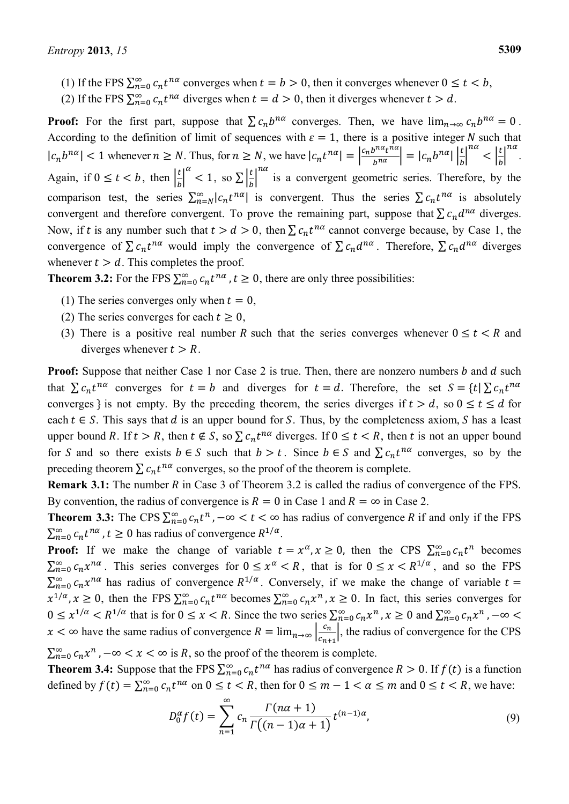- (1) If the FPS  $\sum_{n=0}^{\infty} c_n t^{n\alpha}$  converges when  $t = b > 0$ , then it converges whenever  $0 \le t < b$ ,
- (2) If the FPS  $\sum_{n=0}^{\infty} c_n t^{n\alpha}$  diverges when  $t = d > 0$ , then it diverges whenever  $t > d$ .

**Proof:** For the first part, suppose that  $\sum c_n b^{n\alpha}$  converges. Then, we have  $\lim_{n\to\infty} c_n b^{n\alpha} = 0$ . According to the definition of limit of sequences with  $\varepsilon = 1$ , there is a positive integer N such that  $|c_n b^{n\alpha}| < 1$  whenever  $n \ge N$ . Thus, for  $n \ge N$ , we have  $|c_n t^{n\alpha}| = \left|\frac{c_n b^{n\alpha} t^n}{b^{n\alpha}}\right|$  $b^{nu}$  |  $\cdots$  |  $b$ | |  $b$  $\left|\frac{a_t}{n\alpha}\right| = |c_n b^{n\alpha}| \left|\frac{t}{b}\right|$  $\boldsymbol{n}$  $\overline{\phantom{a}}$ na<br>. Again, if  $0 \le t < b$ , then  $\left| \frac{t}{b} \right|$  $\overline{b}$  $\alpha$  < 1, so  $\sum \frac{t}{h}$  $\overline{b}$  $\sum_{n=1}^{\infty}$  is a convergent geometric series. Therefore, by the comparison test, the series  $\sum_{n=N}^{\infty} |c_n t^{n\alpha}|$  is convergent. Thus the series  $\sum c_n t^{n\alpha}$  is absolutely convergent and therefore convergent. To prove the remaining part, suppose that  $\sum c_n d^{n\alpha}$  diverges. Now, if t is any number such that  $t > d > 0$ , then  $\sum c_n t^{n\alpha}$  cannot converge because, by Case 1, the convergence of  $\sum c_n t^{n\alpha}$  would imply the convergence of  $\sum c_n d^{n\alpha}$ . Therefore,  $\sum c_n d^{n\alpha}$  diverges whenever  $t > d$ . This completes the proof.

**Theorem 3.2:** For the FPS  $\sum_{n=0}^{\infty} c_n t^{n\alpha}$ ,  $t \ge 0$ , there are only three possibilities:

- (1) The series converges only when  $t = 0$ ,
- (2) The series converges for each  $t \ge 0$ ,
- (3) There is a positive real number R such that the series converges whenever  $0 \le t < R$  and diverges whenever  $t > R$ .

**Proof:** Suppose that neither Case 1 nor Case 2 is true. Then, there are nonzero numbers b and d such that  $\sum c_n t^{n\alpha}$  converges for  $t = b$  and diverges for  $t = d$ . Therefore, the set  $S = \{t | \sum c_n t^n\}$ converges is not empty. By the preceding theorem, the series diverges if  $t > d$ , so  $0 \le t \le d$  for each  $t \in S$ . This says that d is an upper bound for S. Thus, by the completeness axiom, S has a least upper bound R. If  $t > R$ , then  $t \notin S$ , so  $\sum c_n t^{n\alpha}$  diverges. If  $0 \le t < R$ , then t is not an upper bound for S and so there exists  $b \in S$  such that  $b > t$ . Since  $b \in S$  and  $\sum c_n t^{n\alpha}$  converges, so by the preceding theorem  $\sum c_n t^{n\alpha}$  converges, so the proof of the theorem is complete.

**Remark 3.1:** The number R in Case 3 of Theorem 3.2 is called the radius of convergence of the FPS. By convention, the radius of convergence is  $R = 0$  in Case 1 and  $R = \infty$  in Case 2.

**Theorem 3.3:** The CPS  $\sum_{n=0}^{\infty} c_n t^n$ ,  $-\infty < t < \infty$  has radius of convergence R if and only if the FPS  $\sum_{n=0}^{\infty} c_n t^{n\alpha}$ ,  $t \ge 0$  has radius of convergence  $R^{1/\alpha}$ .

**Proof:** If we make the change of variable  $t = x^{\alpha}, x \ge 0$ , then the CPS  $\sum_{n=0}^{\infty} c_n t^n$  becomes  $\sum_{n=0}^{\infty} c_n x^{n\alpha}$ . This series converges for  $0 \le x \le R$ , that is for  $0 \le x \le R^{1/\alpha}$ , and so the FPS  $\sum_{n=0}^{\infty} c_n x^{n\alpha}$  has radius of convergence  $R^{1/\alpha}$ . Conversely, if we make the change of variable  $x^{1/\alpha}, x \ge 0$ , then the FPS  $\sum_{n=0}^{\infty} c_n t^{n\alpha}$  becomes  $\sum_{n=0}^{\infty} c_n x^n$ ,  $x \ge 0$ . In fact, this series converges for  $0 \leq x^{1/\alpha} < R^{1/\alpha}$  that is for  $0 \leq x < R$ . Since the two series  $\sum_{n=0}^{\infty} c_n x^n$ ,  $x \geq 0$  and  $\sum_{n=0}^{\infty} c_n$  $x < \infty$  have the same radius of convergence  $R = \lim_{n \to \infty} \left| \frac{c}{\zeta_n} \right|$  $\frac{c_n}{c_{n+1}}$ , the radius of convergence for the CPS  $\sum_{n=0}^{\infty} c_n x^n$ ,  $-\infty < x < \infty$  is R, so the proof of the theorem is complete.

**Theorem 3.4:** Suppose that the FPS  $\sum_{n=0}^{\infty} c_n t^{n\alpha}$  has radius of convergence  $R > 0$ . If  $f(t)$  is a function defined by  $f(t) = \sum_{n=0}^{\infty} c_n t^{n\alpha}$  on  $0 \le t < R$ , then for  $0 \le m - 1 < \alpha \le m$  and  $0 \le t < R$ , we have:

$$
D_0^{\alpha} f(t) = \sum_{n=1}^{\infty} c_n \frac{\Gamma(n\alpha + 1)}{\Gamma((n-1)\alpha + 1)} t^{(n-1)\alpha},
$$
\n(9)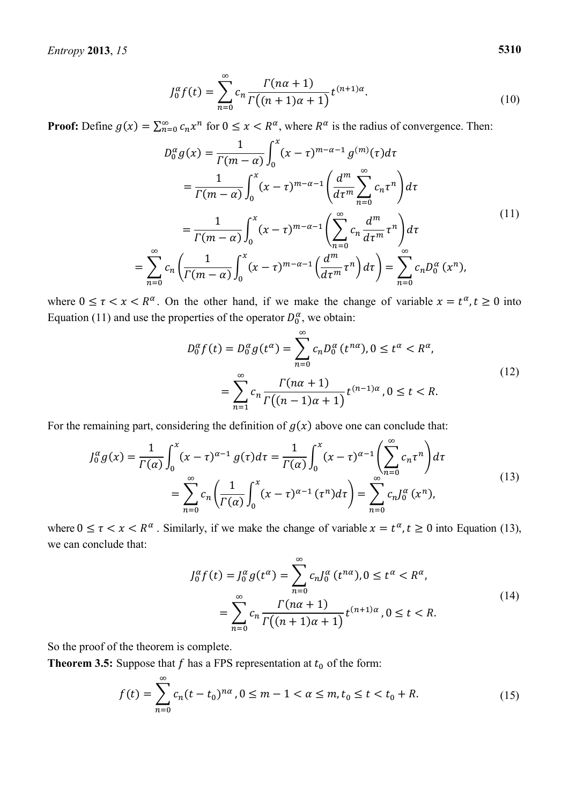*Entropy* **2013**, *15* **5310** 

$$
J_0^{\alpha} f(t) = \sum_{n=0}^{\infty} c_n \frac{\Gamma(n\alpha + 1)}{\Gamma((n+1)\alpha + 1)} t^{(n+1)\alpha}.
$$
 (10)

**Proof:** Define  $g(x) = \sum_{n=0}^{\infty} c_n x^n$  for  $0 \le x < R^{\alpha}$ , where  $R^{\alpha}$  is the radius of convergence. Then:

$$
D_0^{\alpha} g(x) = \frac{1}{\Gamma(m-\alpha)} \int_0^x (x-\tau)^{m-\alpha-1} g^{(m)}(\tau) d\tau
$$
  
\n
$$
= \frac{1}{\Gamma(m-\alpha)} \int_0^x (x-\tau)^{m-\alpha-1} \left( \frac{d^m}{d\tau^m} \sum_{n=0}^\infty c_n \tau^n \right) d\tau
$$
  
\n
$$
= \frac{1}{\Gamma(m-\alpha)} \int_0^x (x-\tau)^{m-\alpha-1} \left( \sum_{n=0}^\infty c_n \frac{d^m}{d\tau^m} \tau^n \right) d\tau
$$
  
\n
$$
= \sum_{n=0}^\infty c_n \left( \frac{1}{\Gamma(m-\alpha)} \int_0^x (x-\tau)^{m-\alpha-1} \left( \frac{d^m}{d\tau^m} \tau^n \right) d\tau \right) = \sum_{n=0}^\infty c_n D_0^{\alpha} (x^n),
$$
\n(11)

where  $0 \le \tau < x < R^{\alpha}$ . On the other hand, if we make the change of variable  $x = t^{\alpha}, t \ge 0$  into Equation (11) and use the properties of the operator  $D_0^{\alpha}$ , we obtain:

$$
D_0^{\alpha} f(t) = D_0^{\alpha} g(t^{\alpha}) = \sum_{n=0}^{\infty} c_n D_0^{\alpha} (t^{n\alpha}), 0 \le t^{\alpha} < R^{\alpha},
$$
\n
$$
= \sum_{n=1}^{\infty} c_n \frac{\Gamma(n\alpha + 1)}{\Gamma((n-1)\alpha + 1)} t^{(n-1)\alpha}, 0 \le t < R.
$$
\n
$$
(12)
$$

For the remaining part, considering the definition of  $g(x)$  above one can conclude that:

$$
J_0^{\alpha} g(x) = \frac{1}{\Gamma(\alpha)} \int_0^x (x - \tau)^{\alpha - 1} g(\tau) d\tau = \frac{1}{\Gamma(\alpha)} \int_0^x (x - \tau)^{\alpha - 1} \left( \sum_{n=0}^\infty c_n \tau^n \right) d\tau
$$
  
= 
$$
\sum_{n=0}^\infty c_n \left( \frac{1}{\Gamma(\alpha)} \int_0^x (x - \tau)^{\alpha - 1} (\tau^n) d\tau \right) = \sum_{n=0}^\infty c_n J_0^{\alpha} (x^n),
$$
 (13)

where  $0 \le \tau < x < R^{\alpha}$ . Similarly, if we make the change of variable  $x = t^{\alpha}, t \ge 0$  into Equation (13), we can conclude that:

$$
J_0^{\alpha} f(t) = J_0^{\alpha} g(t^{\alpha}) = \sum_{n=0}^{\infty} c_n J_0^{\alpha} (t^{n\alpha}), 0 \le t^{\alpha} < R^{\alpha},
$$
\n
$$
= \sum_{n=0}^{\infty} c_n \frac{\Gamma(n\alpha + 1)}{\Gamma((n+1)\alpha + 1)} t^{(n+1)\alpha}, 0 \le t < R.
$$
\n(14)

So the proof of the theorem is complete.

**Theorem 3.5:** Suppose that f has a FPS representation at  $t_0$  of the form:

$$
f(t) = \sum_{n=0}^{\infty} c_n (t - t_0)^{n\alpha}, 0 \le m - 1 < \alpha \le m, t_0 \le t < t_0 + R.
$$
 (15)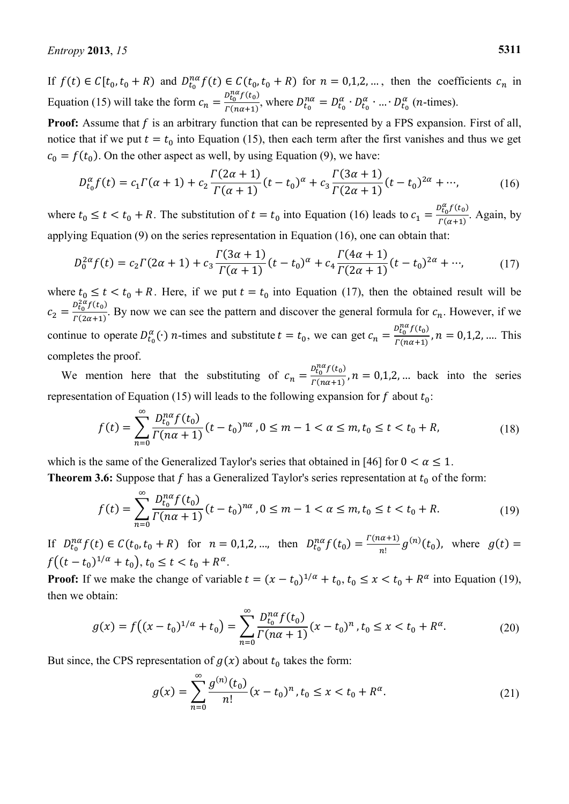If  $f(t) \in C[t_0, t_0 + R)$  and  $D_{t_0}^{n\alpha} f(t) \in C(t_0, t_0 + R)$  for  $n = 0, 1, 2, ...$ , then the coefficients  $c_n$  in Equation (15) will take the form  $c_n = \frac{D_{t_0}^{n\alpha}f(t_0)}{F(n\alpha+1)}$  $\frac{\partial F_0}{\partial (n\alpha+1)}$ , where  $D_{t_0}^{n\alpha} = D_{t_0}^{\alpha} \cdot D_{t_0}^{\alpha} \cdot ... \cdot D_{t_0}^{\alpha}$  (*n*-times).

**Proof:** Assume that  $f$  is an arbitrary function that can be represented by a FPS expansion. First of all, notice that if we put  $t = t_0$  into Equation (15), then each term after the first vanishes and thus we get  $c_0 = f(t_0)$ . On the other aspect as well, by using Equation (9), we have:

$$
D_{t_0}^{\alpha} f(t) = c_1 \Gamma(\alpha + 1) + c_2 \frac{\Gamma(2\alpha + 1)}{\Gamma(\alpha + 1)} (t - t_0)^{\alpha} + c_3 \frac{\Gamma(3\alpha + 1)}{\Gamma(2\alpha + 1)} (t - t_0)^{2\alpha} + \cdots,
$$
 (16)

where  $t_0 \le t < t_0 + R$ . The substitution of  $t = t_0$  into Equation (16) leads to  $c_1 = \frac{p_{t_0}^{\alpha} f(t_0)}{F(\alpha+1)}$  $\frac{\Gamma(0)}{\Gamma(\alpha+1)}$ . Again, by applying Equation (9) on the series representation in Equation (16), one can obtain that:

$$
D_0^{2\alpha} f(t) = c_2 \Gamma(2\alpha + 1) + c_3 \frac{\Gamma(3\alpha + 1)}{\Gamma(\alpha + 1)} (t - t_0)^{\alpha} + c_4 \frac{\Gamma(4\alpha + 1)}{\Gamma(2\alpha + 1)} (t - t_0)^{2\alpha} + \cdots,
$$
 (17)

where  $t_0 \le t < t_0 + R$ . Here, if we put  $t = t_0$  into Equation (17), then the obtained result will be  $c_2 = \frac{D_{t_0}^{2\alpha} f(t_0)}{F(2\alpha+1)}$  $\frac{\sum_{i=0}^{n} \sum_{i=0}^{n} \sum_{i=0}^{n} E_{i}}{r(2\alpha+1)}$ . By now we can see the pattern and discover the general formula for  $c_n$ . However, if we continue to operate  $D_{t_0}^{\alpha}(\cdot)$  *n*-times and substitute  $t = t_0$ , we can get  $c_n = \frac{D_{t_0}^{n\alpha} f(t_0)}{\Gamma(n\alpha + 1)}$  $\frac{\sum_{i=0}^{n} y_i}{\sum_{i=1}^{n} (n\alpha+1)}$ ,  $n = 0,1,2,...$  This completes the proof.

We mention here that the substituting of  $c_n = \frac{D_{t_0}^{n} f(t_0)}{F(n+1)}$  $\frac{\partial u_0}{\partial (n\alpha+1)}$ ,  $n = 0,1,2,...$  back into the series representation of Equation (15) will leads to the following expansion for f about  $t_0$ :

$$
f(t) = \sum_{n=0}^{\infty} \frac{D_{t_0}^{n\alpha} f(t_0)}{\Gamma(n\alpha + 1)} (t - t_0)^{n\alpha}, 0 \le m - 1 < \alpha \le m, t_0 \le t < t_0 + R,
$$
\n(18)

which is the same of the Generalized Taylor's series that obtained in [46] for  $0 < \alpha \le 1$ . **Theorem 3.6:** Suppose that f has a Generalized Taylor's series representation at  $t_0$  of the form:

$$
f(t) = \sum_{n=0}^{\infty} \frac{D_{t_0}^{n\alpha} f(t_0)}{\Gamma(n\alpha + 1)} (t - t_0)^{n\alpha}, 0 \leq m - 1 < \alpha \leq m, t_0 \leq t < t_0 + R. \tag{19}
$$

If  $D_{t_0}^{n\alpha} f(t) \in C(t_0, t_0 + R)$  for  $n = 0, 1, 2, ...$ , then  $D_{t_0}^{n\alpha} f(t_0) = \frac{1}{2}$  $\frac{u+1}{n!}g^{(n)}(t_0)$ , where  $f((t-t_0)^{1/\alpha}+t_0), t_0 \leq t < t_0 + R^{\alpha}.$ 

**Proof:** If we make the change of variable  $t = (x - t_0)^{1/\alpha} + t_0$ ,  $t_0 \le x < t_0 + R^{\alpha}$  into Equation (19), then we obtain:

$$
g(x) = f((x - t_0)^{1/\alpha} + t_0) = \sum_{n=0}^{\infty} \frac{D_{t_0}^{n\alpha} f(t_0)}{\Gamma(n\alpha + 1)} (x - t_0)^n, t_0 \le x < t_0 + R^{\alpha}.\tag{20}
$$

But since, the CPS representation of  $g(x)$  about  $t_0$  takes the form:

$$
g(x) = \sum_{n=0}^{\infty} \frac{g^{(n)}(t_0)}{n!} (x - t_0)^n, t_0 \le x < t_0 + R^{\alpha}.\tag{21}
$$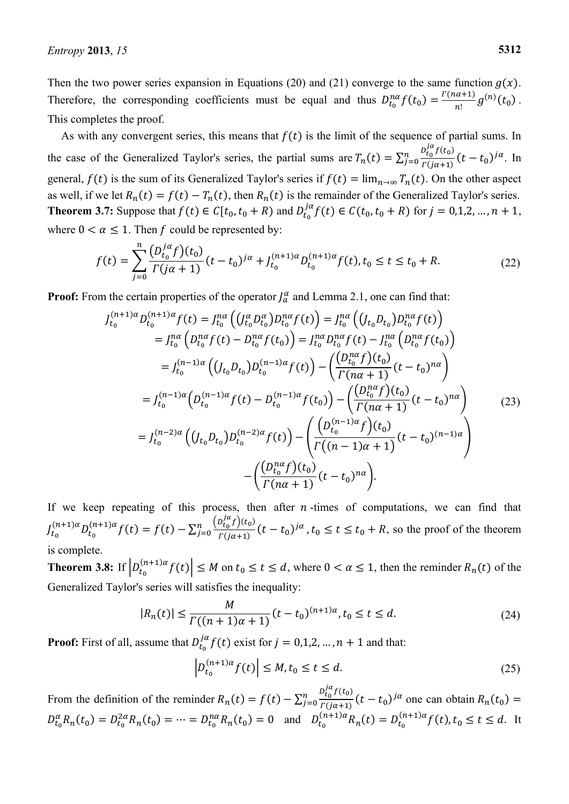Then the two power series expansion in Equations (20) and (21) converge to the same function  $g(x)$ . Therefore, the corresponding coefficients must be equal and thus  $D_{t_0}^{n\alpha} f(t_0) = \frac{P_t}{n\alpha}$  $\frac{a^{(n+1)}}{n!}g^{(n)}(t_0)$ . This completes the proof.

As with any convergent series, this means that  $f(t)$  is the limit of the sequence of partial sums. In the case of the Generalized Taylor's series, the partial sums are  $T_n(t) = \sum_{j=0}^n \frac{D_{t_0}^{1/\alpha} f(t_0)}{F(i\alpha+1)}$  $\int_{j=0}^{n} \frac{t_0^{(1)}(t-t_0)}{\Gamma(j\alpha+1)} (t-t_0)^{j\alpha}$ . In general,  $f(t)$  is the sum of its Generalized Taylor's series if  $f(t) = \lim_{n \to \infty} T_n(t)$ . On the other aspect as well, if we let  $R_n(t) = f(t) - T_n(t)$ , then  $R_n(t)$  is the remainder of the Generalized Taylor's series. **Theorem 3.7:** Suppose that  $f(t) \in C[t_0, t_0 + R)$  and  $D_{t_0}^{j\alpha} f(t) \in C(t_0, t_0 + R)$  for  $j = 0, 1, 2, ..., n + 1$ , where  $0 < \alpha \leq 1$ . Then f could be represented by:

$$
f(t) = \sum_{j=0}^{n} \frac{\left(D_{t_0}^{j\alpha} f\right)(t_0)}{\Gamma(j\alpha + 1)} (t - t_0)^{j\alpha} + J_{t_0}^{(n+1)\alpha} D_{t_0}^{(n+1)\alpha} f(t), t_0 \le t \le t_0 + R. \tag{22}
$$

**Proof:** From the certain properties of the operator  $J_a^{\alpha}$  and Lemma 2.1, one can find that:

$$
J_{t_0}^{(n+1)\alpha} D_{t_0}^{(n+1)\alpha} f(t) = J_{t_0}^{n\alpha} \left( \left( J_{t_0}^{\alpha} D_{t_0}^{\alpha} \right) D_{t_0}^{n\alpha} f(t) \right) = J_{t_0}^{n\alpha} \left( \left( J_{t_0} D_{t_0} \right) D_{t_0}^{n\alpha} f(t) \right)
$$
  
\n
$$
= J_{t_0}^{n\alpha} \left( D_{t_0}^{n\alpha} f(t) - D_{t_0}^{n\alpha} f(t_0) \right) = J_{t_0}^{n\alpha} D_{t_0}^{n\alpha} f(t) - J_{t_0}^{n\alpha} \left( D_{t_0}^{n\alpha} f(t_0) \right)
$$
  
\n
$$
= J_{t_0}^{(n-1)\alpha} \left( \left( J_{t_0} D_{t_0} \right) D_{t_0}^{(n-1)\alpha} f(t) \right) - \left( \frac{\left( D_{t_0}^{n\alpha} f \right) (t_0)}{\Gamma(n\alpha + 1)} (t - t_0)^{n\alpha} \right)
$$
  
\n
$$
= J_{t_0}^{(n-1)\alpha} \left( D_{t_0}^{(n-1)\alpha} f(t) - D_{t_0}^{(n-1)\alpha} f(t_0) \right) - \left( \frac{\left( D_{t_0}^{n\alpha} f \right) (t_0)}{\Gamma(n\alpha + 1)} (t - t_0)^{n\alpha} \right)
$$
  
\n
$$
= J_{t_0}^{(n-2)\alpha} \left( \left( J_{t_0} D_{t_0} \right) D_{t_0}^{(n-2)\alpha} f(t) \right) - \left( \frac{\left( D_{t_0}^{(n-1)\alpha} f \right) (t_0)}{\Gamma(n\alpha + 1)} (t - t_0)^{(n-1)\alpha} \right)
$$
  
\n
$$
- \left( \frac{\left( D_{t_0}^{n\alpha} f \right) (t_0)}{\Gamma(n\alpha + 1)} (t - t_0)^{n\alpha} \right).
$$
 (23)

If we keep repeating of this process, then after  $n$ -times of computations, we can find that  $J_t$  $(n+1)\alpha D(n+1)\alpha f(t) - f(t) - \nabla^n \frac{(D_0^{1\alpha}f)(t_0)}{(t_0^2)}$  $\int_{t=0}^{n} \frac{(t-t_0)^{t} f(t_0)}{f(j_0+1)} (t-t_0)^{j\alpha}$ ,  $t_0 \le t \le t_0 + R$ , so the proof of the theorem is complete.

**Theorem 3.8:** If  $\left| D_{t_0}^{(n+1)\alpha} f(t) \right| \leq M$  on  $t_0 \leq t \leq d$ , where  $0 < \alpha \leq 1$ , then the reminder  $R_n(t)$  of the Generalized Taylor's series will satisfies the inequality:

$$
|R_n(t)| \le \frac{M}{\Gamma((n+1)\alpha + 1)} (t - t_0)^{(n+1)\alpha}, t_0 \le t \le d.
$$
 (24)

**Proof:** First of all, assume that  $D_{t_0}^{j\alpha} f(t)$  exist for  $j = 0,1,2,...,n+1$  and that:

$$
\left| D_{t_0}^{(n+1)\alpha} f(t) \right| \le M, t_0 \le t \le d. \tag{25}
$$

From the definition of the reminder  $R_n(t) = f(t) - \sum_{j=0}^n \frac{D_t^{1/\alpha} f(t_0)}{F(i\alpha+1)}$  $\frac{d}{dz} \frac{d}{dz} \frac{d}{dz} \frac{d}{dz} \frac{d}{dz} (t - t_0)^{j\alpha}$  one can obtain  $R_n(t_0)$  $D_{t_0}^{\alpha}R_n(t_0) = D_{t_0}^{2\alpha}R_n(t_0) = \dots = D_{t_0}^{n\alpha}R_n(t_0) = 0$  and  $D_{t_0}^{(n+1)\alpha}R_n(t) = D_{t_0}^{(n+1)\alpha}f(t), t_0 \le t \le d$ . It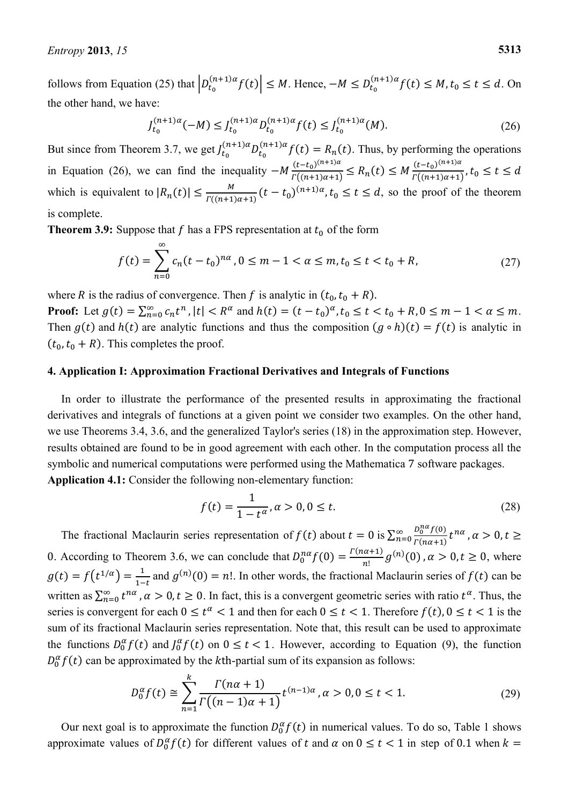follows from Equation (25) that  $\left| D_{t_0}^{(n+1)\alpha} f(t) \right| \leq M$ . Hence,  $-M \leq D_{t_0}^{(n+1)\alpha} f(t) \leq M$ ,  $t_0 \leq t \leq d$ . On the other hand, we have:

$$
J_{t_0}^{(n+1)\alpha}(-M) \le J_{t_0}^{(n+1)\alpha} D_{t_0}^{(n+1)\alpha} f(t) \le J_{t_0}^{(n+1)\alpha}(M). \tag{26}
$$

But since from Theorem 3.7, we get  $J_{t_0}^{(n+1)\alpha} D_{t_0}^{(n+1)\alpha} f(t) = R_n(t)$ . Thus, by performing the operations in Equation (26), we can find the inequality  $-M \frac{(t-t_0)^{6}}{r^{6}}$  $\frac{(t-t_0)^{(n+1)\alpha}}{\Gamma((n+1)\alpha+1)} \leq R_n(t) \leq M \frac{(t-t_0)^{(n+1)\alpha}}{\Gamma((n+1)\alpha+1)}$  $\boldsymbol{l}$ which is equivalent to  $|R_n(t)| \leq \frac{M}{r}$  $\frac{m}{\Gamma((n+1)\alpha+1)}(t-t_0)^{(n+1)\alpha}, t_0 \le t \le d$ , so the proof of the theorem is complete.

**Theorem 3.9:** Suppose that f has a FPS representation at  $t_0$  of the form

$$
f(t) = \sum_{n=0}^{\infty} c_n (t - t_0)^{n\alpha}, 0 \le m - 1 < \alpha \le m, t_0 \le t < t_0 + R,
$$
 (27)

where R is the radius of convergence. Then f is analytic in  $(t_0, t_0 + R)$ .

**Proof:** Let  $g(t) = \sum_{n=0}^{\infty} c_n t^n$ ,  $|t| < R^{\alpha}$  and  $h(t) = (t - t_0)^{\alpha}$ ,  $t_0 \le t < t_0 + R$ ,  $0 \le m - 1 < \alpha \le m$ . Then  $g(t)$  and  $h(t)$  are analytic functions and thus the composition  $(g \circ h)(t) = f(t)$  is analytic in  $(t_0, t_0 + R)$ . This completes the proof.

### **4. Application I: Approximation Fractional Derivatives and Integrals of Functions**

In order to illustrate the performance of the presented results in approximating the fractional derivatives and integrals of functions at a given point we consider two examples. On the other hand, we use Theorems 3.4, 3.6, and the generalized Taylor's series (18) in the approximation step. However, results obtained are found to be in good agreement with each other. In the computation process all the symbolic and numerical computations were performed using the Mathematica 7 software packages. **Application 4.1:** Consider the following non-elementary function:

$$
f(t) = \frac{1}{1 - t^{\alpha}}, \alpha > 0, 0 \le t.
$$
 (28)

The fractional Maclaurin series representation of  $f(t)$  about  $t=0$  is  $\sum_{n=0}^{\infty} \frac{b_0^n}{n!}$  $\sum_{n=0}^{\infty} \frac{\nu_0}{\Gamma(n\alpha+1)} t$ 0. According to Theorem 3.6, we can conclude that  $D_0^{n\alpha} f(0) = \frac{\Gamma(n\alpha+1)}{n!} g^{(n)}(0)$ ,  $\alpha > 0, t \ge 0$ , where  $\boldsymbol{n}$  $g(t) = f(t^{1/\alpha}) = \frac{1}{1-t}$  and  $g^{(n)}(0) = n!$ . In other words, the fractional Maclaurin series of  $f(t)$  can be written as  $\sum_{n=0}^{\infty} t^{n\alpha}$ ,  $\alpha > 0$ ,  $t \ge 0$ . In fact, this is a convergent geometric series with ratio  $t^{\alpha}$ . Thus, the series is convergent for each  $0 \le t^{\alpha} < 1$  and then for each  $0 \le t < 1$ . Therefore  $f(t)$ ,  $0 \le t < 1$  is the sum of its fractional Maclaurin series representation. Note that, this result can be used to approximate the functions  $D_0^{\alpha} f(t)$  and  $J_0^{\alpha} f(t)$  on  $0 \le t < 1$ . However, according to Equation (9), the function  $D_0^{\alpha} f(t)$  can be approximated by the kth-partial sum of its expansion as follows:

$$
D_0^{\alpha} f(t) \cong \sum_{n=1}^k \frac{\Gamma(n\alpha + 1)}{\Gamma((n-1)\alpha + 1)} t^{(n-1)\alpha}, \alpha > 0, 0 \le t < 1.
$$
 (29)

Our next goal is to approximate the function  $D_0^{\alpha} f(t)$  in numerical values. To do so, Table 1 shows approximate values of  $D_0^{\alpha} f(t)$  for different values of t and  $\alpha$  on  $0 \le t < 1$  in step of 0.1 when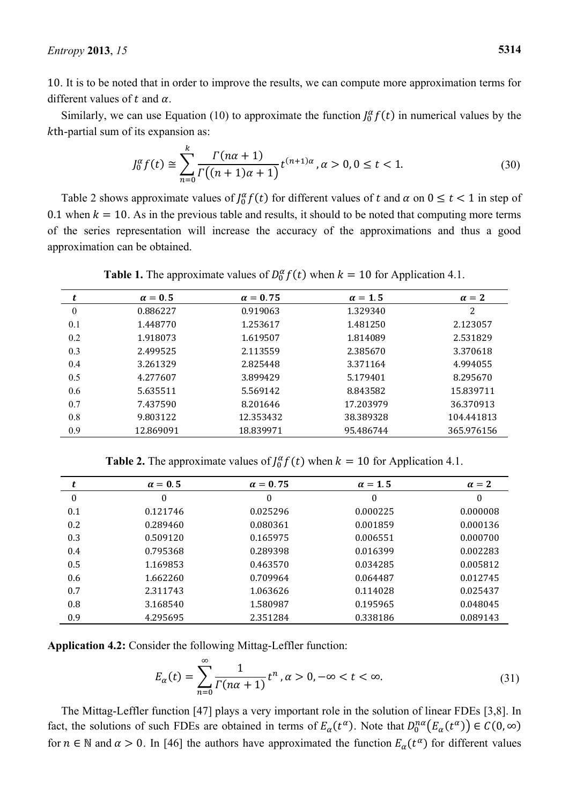. It is to be noted that in order to improve the results, we can compute more approximation terms for different values of  $t$  and  $\alpha$ .

Similarly, we can use Equation (10) to approximate the function  $J_0^{\alpha} f(t)$  in numerical values by the  $k$ th-partial sum of its expansion as:

$$
J_0^{\alpha} f(t) \cong \sum_{n=0}^{k} \frac{\Gamma(n\alpha + 1)}{\Gamma((n+1)\alpha + 1)} t^{(n+1)\alpha}, \alpha > 0, 0 \le t < 1.
$$
 (30)

Table 2 shows approximate values of  $J_0^{\alpha} f(t)$  for different values of t and  $\alpha$  on  $0 \le t < 1$  in step of 0.1 when  $k = 10$ . As in the previous table and results, it should to be noted that computing more terms of the series representation will increase the accuracy of the approximations and thus a good approximation can be obtained.

|              | $\alpha = 0.5$ | $\alpha = 0.75$ | $\alpha = 1.5$ | $\alpha = 2$ |
|--------------|----------------|-----------------|----------------|--------------|
| $\mathbf{0}$ | 0.886227       | 0.919063        | 1.329340       | 2            |
| 0.1          | 1.448770       | 1.253617        | 1.481250       | 2.123057     |
| 0.2          | 1.918073       | 1.619507        | 1.814089       | 2.531829     |
| 0.3          | 2.499525       | 2.113559        | 2.385670       | 3.370618     |
| 0.4          | 3.261329       | 2.825448        | 3.371164       | 4.994055     |
| 0.5          | 4.277607       | 3.899429        | 5.179401       | 8.295670     |
| 0.6          | 5.635511       | 5.569142        | 8.843582       | 15.839711    |
| 0.7          | 7.437590       | 8.201646        | 17.203979      | 36.370913    |
| 0.8          | 9.803122       | 12.353432       | 38.389328      | 104.441813   |
| 0.9          | 12.869091      | 18.839971       | 95.486744      | 365.976156   |

**Table 1.** The approximate values of  $D_0^{\alpha} f(t)$  when  $k = 10$  for Application 4.1.

**Table 2.** The approximate values of  $J_0^{\alpha} f(t)$  when  $k = 10$  for Application 4.1.

|     | $\alpha = 0.5$ | $\alpha = 0.75$ | $\alpha = 1.5$ | $\alpha = 2$ |
|-----|----------------|-----------------|----------------|--------------|
| 0   | 0              | $\theta$        | 0              | 0            |
| 0.1 | 0.121746       | 0.025296        | 0.000225       | 0.000008     |
| 0.2 | 0.289460       | 0.080361        | 0.001859       | 0.000136     |
| 0.3 | 0.509120       | 0.165975        | 0.006551       | 0.000700     |
| 0.4 | 0.795368       | 0.289398        | 0.016399       | 0.002283     |
| 0.5 | 1.169853       | 0.463570        | 0.034285       | 0.005812     |
| 0.6 | 1.662260       | 0.709964        | 0.064487       | 0.012745     |
| 0.7 | 2.311743       | 1.063626        | 0.114028       | 0.025437     |
| 0.8 | 3.168540       | 1.580987        | 0.195965       | 0.048045     |
| 0.9 | 4.295695       | 2.351284        | 0.338186       | 0.089143     |

**Application 4.2:** Consider the following Mittag-Leffler function:

$$
E_{\alpha}(t) = \sum_{n=0}^{\infty} \frac{1}{\Gamma(n\alpha + 1)} t^n, \alpha > 0, -\infty < t < \infty.
$$
 (31)

The Mittag-Leffler function [47] plays a very important role in the solution of linear FDEs [3,8]. In fact, the solutions of such FDEs are obtained in terms of  $E_\alpha(t^\alpha)$ . Note that  $D_0^{n\alpha} (E_\alpha(t^\alpha))$ for  $n \in \mathbb{N}$  and  $\alpha > 0$ . In [46] the authors have approximated the function  $E_{\alpha}(t^{\alpha})$  for different values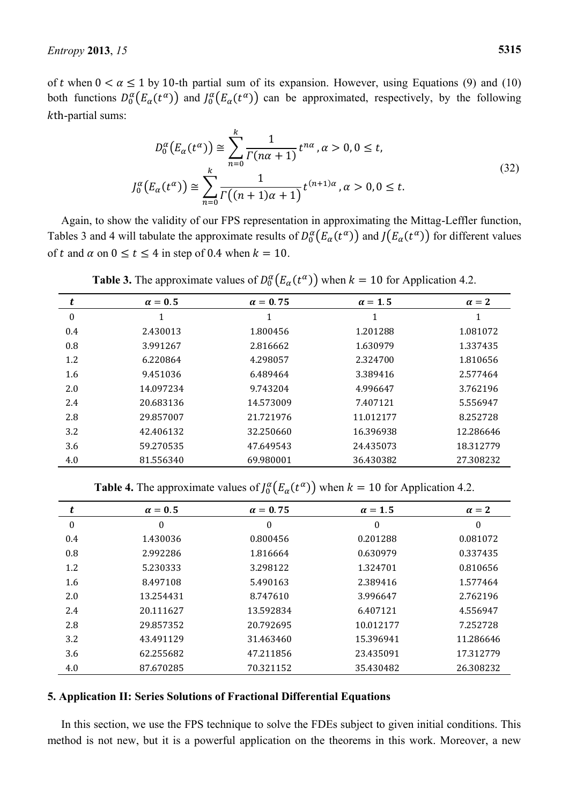of t when  $0 < \alpha \le 1$  by 10-th partial sum of its expansion. However, using Equations (9) and (10) both functions  $D_0^{\alpha}(E_{\alpha}(t^{\alpha}))$  and  $J_0^{\alpha}(E_{\alpha}(t^{\alpha}))$  can be approximated, respectively, by the following  $k$ th-partial sums:

$$
D_0^{\alpha}(E_{\alpha}(t^{\alpha})) \cong \sum_{n=0}^{k} \frac{1}{\Gamma(n\alpha+1)} t^{n\alpha}, \alpha > 0, 0 \le t,
$$
  

$$
J_0^{\alpha}(E_{\alpha}(t^{\alpha})) \cong \sum_{n=0}^{k} \frac{1}{\Gamma((n+1)\alpha+1)} t^{(n+1)\alpha}, \alpha > 0, 0 \le t.
$$
 (32)

Again, to show the validity of our FPS representation in approximating the Mittag-Leffler function, Tables 3 and 4 will tabulate the approximate results of  $D_0^{\alpha}(E_{\alpha}(t^{\alpha}))$  and  $J(E_{\alpha}(t^{\alpha}))$  for different values of t and  $\alpha$  on  $0 \le t \le 4$  in step of 0.4 when  $k = 10$ .

| t            | $\alpha = 0.5$ | $\alpha = 0.75$ | $\alpha = 1.5$ | $\alpha = 2$ |
|--------------|----------------|-----------------|----------------|--------------|
| $\mathbf{0}$ | 1              | 1               | 1              |              |
| 0.4          | 2.430013       | 1.800456        | 1.201288       | 1.081072     |
| 0.8          | 3.991267       | 2.816662        | 1.630979       | 1.337435     |
| 1.2          | 6.220864       | 4.298057        | 2.324700       | 1.810656     |
| 1.6          | 9.451036       | 6.489464        | 3.389416       | 2.577464     |
| 2.0          | 14.097234      | 9.743204        | 4.996647       | 3.762196     |
| 2.4          | 20.683136      | 14.573009       | 7.407121       | 5.556947     |
| 2.8          | 29.857007      | 21.721976       | 11.012177      | 8.252728     |
| 3.2          | 42.406132      | 32.250660       | 16.396938      | 12.286646    |
| 3.6          | 59.270535      | 47.649543       | 24.435073      | 18.312779    |
| 4.0          | 81.556340      | 69.980001       | 36.430382      | 27.308232    |

**Table 3.** The approximate values of  $D_0^{\alpha}(E_{\alpha}(t^{\alpha}))$  when  $k = 10$  for Application 4.2.

**Table 4.** The approximate values of  $J_0^{\alpha}(E_{\alpha}(t^{\alpha}))$  when  $k = 10$  for Application 4.2.

|                  | $\alpha = 0.5$ | $\alpha = 0.75$  | $\alpha = 1.5$   | $\alpha = 2$ |
|------------------|----------------|------------------|------------------|--------------|
| $\boldsymbol{0}$ | 0              | $\boldsymbol{0}$ | $\boldsymbol{0}$ | $\theta$     |
| 0.4              | 1.430036       | 0.800456         | 0.201288         | 0.081072     |
| 0.8              | 2.992286       | 1.816664         | 0.630979         | 0.337435     |
| 1.2              | 5.230333       | 3.298122         | 1.324701         | 0.810656     |
| 1.6              | 8.497108       | 5.490163         | 2.389416         | 1.577464     |
| 2.0              | 13.254431      | 8.747610         | 3.996647         | 2.762196     |
| 2.4              | 20.111627      | 13.592834        | 6.407121         | 4.556947     |
| 2.8              | 29.857352      | 20.792695        | 10.012177        | 7.252728     |
| 3.2              | 43.491129      | 31.463460        | 15.396941        | 11.286646    |
| 3.6              | 62.255682      | 47.211856        | 23.435091        | 17.312779    |
| 4.0              | 87.670285      | 70.321152        | 35.430482        | 26.308232    |

### **5. Application II: Series Solutions of Fractional Differential Equations**

In this section, we use the FPS technique to solve the FDEs subject to given initial conditions. This method is not new, but it is a powerful application on the theorems in this work. Moreover, a new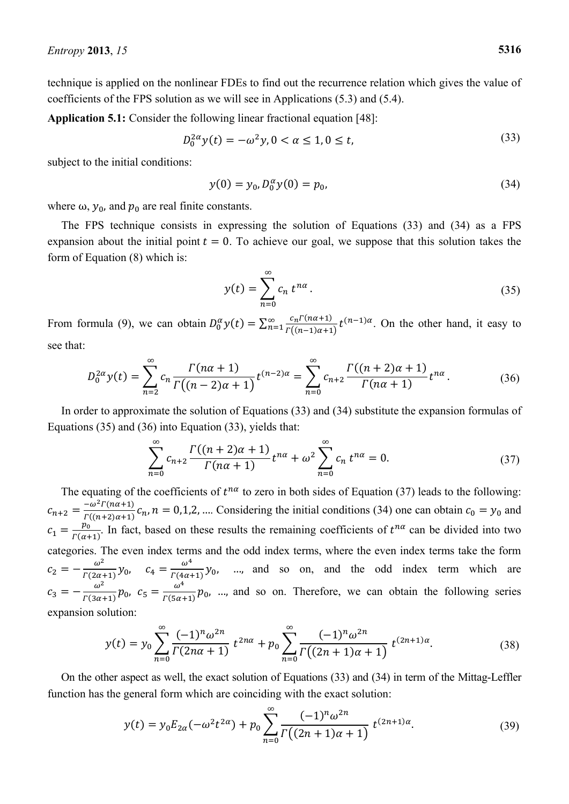technique is applied on the nonlinear FDEs to find out the recurrence relation which gives the value of coefficients of the FPS solution as we will see in Applications (5.3) and (5.4).

**Application 5.1:** Consider the following linear fractional equation [48]:

$$
D_0^{2\alpha} y(t) = -\omega^2 y, 0 < \alpha \le 1, 0 \le t,\tag{33}
$$

subject to the initial conditions:

$$
y(0) = y_0, D_0^{\alpha} y(0) = p_0,
$$
\n(34)

where  $\omega$ ,  $y_0$ , and  $p_0$  are real finite constants.

The FPS technique consists in expressing the solution of Equations (33) and (34) as a FPS expansion about the initial point  $t = 0$ . To achieve our goal, we suppose that this solution takes the form of Equation (8) which is:

$$
y(t) = \sum_{n=0}^{\infty} c_n t^{n\alpha}.
$$
 (35)

From formula (9), we can obtain  $D_0^{\alpha} y(t) = \sum_{n=1}^{\infty} \frac{c}{r}$  $\Gamma$  $\sum_{n=1}^{\infty} \frac{c_n t \left(\frac{n(n+1)}{2}\right)}{r((n-1)\alpha+1)} t^{(n-1)\alpha}$ . On the other hand, it easy to

see that:

$$
D_0^{2\alpha} y(t) = \sum_{n=2}^{\infty} c_n \frac{\Gamma(n\alpha + 1)}{\Gamma((n-2)\alpha + 1)} t^{(n-2)\alpha} = \sum_{n=0}^{\infty} c_{n+2} \frac{\Gamma((n+2)\alpha + 1)}{\Gamma(n\alpha + 1)} t^{n\alpha}.
$$
 (36)

In order to approximate the solution of Equations (33) and (34) substitute the expansion formulas of Equations (35) and (36) into Equation (33), yields that:

$$
\sum_{n=0}^{\infty} c_{n+2} \frac{\Gamma((n+2)\alpha+1)}{\Gamma(n\alpha+1)} t^{n\alpha} + \omega^2 \sum_{n=0}^{\infty} c_n t^{n\alpha} = 0.
$$
 (37)

The equating of the coefficients of  $t^{na}$  to zero in both sides of Equation (37) leads to the following:  $c_{n+2} = \frac{-}{r}$  $\frac{-\omega}{\Gamma((n+2)\alpha+1)}c_n$ ,  $n=0,1,2,...$  Considering the initial conditions (34) one can obtain  $c_0 = y_0$  and  $c_1 = \frac{p}{\Gamma(\alpha)}$  $\frac{p_0}{\Gamma(\alpha+1)}$ . In fact, based on these results the remaining coefficients of  $t^{n\alpha}$  can be divided into two categories. The even index terms and the odd index terms, where the even index terms take the form  $c_2 = -\frac{\omega}{r^{2}a}$  $\frac{\omega^2}{\Gamma(2\alpha+1)} y_0$ ,  $c_4 = \frac{\omega}{\Gamma(4\alpha)}$  $\frac{\omega}{\Gamma(4\alpha+1)}$  y<sub>0</sub>, ..., and so on, and the odd index term which are  $c_3 = -\frac{\omega}{r(3a)}$  $\frac{\omega^2}{\Gamma(3\alpha+1)}p_0$ ,  $c_5 = \frac{\omega}{\Gamma(5\alpha)}$  $\frac{a}{\Gamma(5\alpha+1)}$   $p_0$ , ..., and so on. Therefore, we can obtain the following series expansion solution:

$$
y(t) = y_0 \sum_{n=0}^{\infty} \frac{(-1)^n \omega^{2n}}{\Gamma(2n\alpha + 1)} t^{2n\alpha} + p_0 \sum_{n=0}^{\infty} \frac{(-1)^n \omega^{2n}}{\Gamma((2n+1)\alpha + 1)} t^{(2n+1)\alpha}.
$$
 (38)

On the other aspect as well, the exact solution of Equations (33) and (34) in term of the Mittag-Leffler function has the general form which are coinciding with the exact solution:

$$
y(t) = y_0 E_{2\alpha}(-\omega^2 t^{2\alpha}) + p_0 \sum_{n=0}^{\infty} \frac{(-1)^n \omega^{2n}}{\Gamma((2n+1)\alpha+1)} t^{(2n+1)\alpha}.
$$
 (39)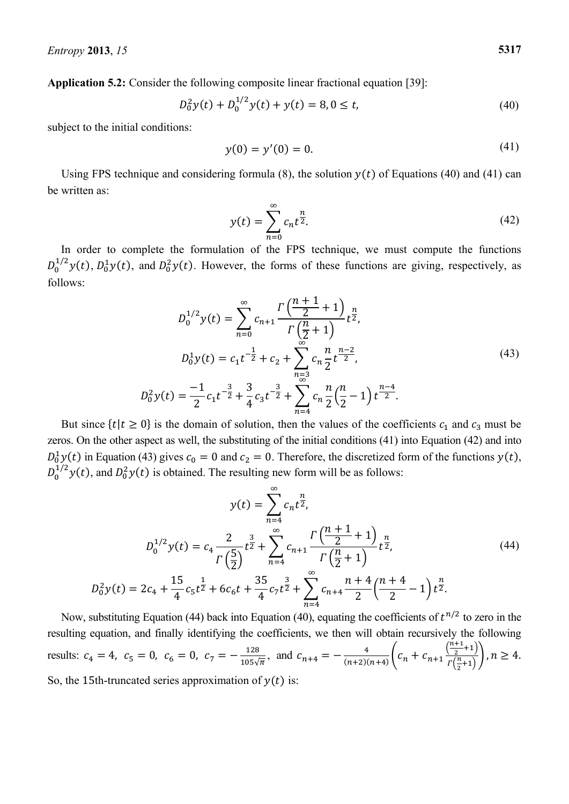**Application 5.2:** Consider the following composite linear fractional equation [39]:

$$
D_0^2 y(t) + D_0^{1/2} y(t) + y(t) = 8, 0 \le t,
$$
\n(40)

subject to the initial conditions:

$$
y(0) = y'(0) = 0.\t\t(41)
$$

Using FPS technique and considering formula (8), the solution  $y(t)$  of Equations (40) and (41) can be written as:

$$
y(t) = \sum_{n=0}^{\infty} c_n t^{\frac{n}{2}}.
$$
 (42)

In order to complete the formulation of the FPS technique, we must compute the functions  $D_0^{1/2}$ y(t),  $D_0^{1}$ y(t), and  $D_0^{2}$ y(t). However, the forms of these functions are giving, respectively, as follows:

$$
D_0^{1/2}y(t) = \sum_{n=0}^{\infty} c_{n+1} \frac{\Gamma\left(\frac{n+1}{2} + 1\right)}{\Gamma\left(\frac{n}{2} + 1\right)} t^{\frac{n}{2}},
$$
  
\n
$$
D_0^1 y(t) = c_1 t^{-\frac{1}{2}} + c_2 + \sum_{\substack{n=3 \ n \equiv 3}}^{\infty} c_n \frac{n}{2} t^{\frac{n-2}{2}},
$$
  
\n
$$
D_0^2 y(t) = \frac{-1}{2} c_1 t^{-\frac{3}{2}} + \frac{3}{4} c_3 t^{-\frac{3}{2}} + \sum_{\substack{n=4 \ n = 4}}^{\infty} c_n \frac{n}{2} \left(\frac{n}{2} - 1\right) t^{\frac{n-4}{2}}.
$$
\n(43)

But since  $\{t | t \ge 0\}$  is the domain of solution, then the values of the coefficients  $c_1$  and  $c_3$  must be zeros. On the other aspect as well, the substituting of the initial conditions (41) into Equation (42) and into  $D_0^1 y(t)$  in Equation (43) gives  $c_0 = 0$  and  $c_2 = 0$ . Therefore, the discretized form of the functions  $y(t)$ ,  $D_0^{1/2}$   $y(t)$ , and  $D_0^2 y(t)$  is obtained. The resulting new form will be as follows:

$$
y(t) = \sum_{n=4}^{\infty} c_n t^{\frac{n}{2}},
$$
  
\n
$$
D_0^{1/2} y(t) = c_4 \frac{2}{\Gamma(\frac{5}{2})} t^{\frac{3}{2}} + \sum_{n=4}^{\infty} c_{n+1} \frac{\Gamma(\frac{n+1}{2}+1)}{\Gamma(\frac{n}{2}+1)} t^{\frac{n}{2}},
$$
  
\n
$$
D_0^2 y(t) = 2c_4 + \frac{15}{4} c_5 t^{\frac{1}{2}} + 6c_6 t + \frac{35}{4} c_7 t^{\frac{3}{2}} + \sum_{n=4}^{\infty} c_{n+4} \frac{n+4}{2} (\frac{n+4}{2} - 1) t^{\frac{n}{2}}.
$$
  
\n(44)

Now, substituting Equation (44) back into Equation (40), equating the coefficients of  $t^{n/2}$  to zero in the resulting equation, and finally identifying the coefficients, we then will obtain recursively the following results:  $c_4 = 4$ ,  $c_5 = 0$ ,  $c_6 = 0$ ,  $c_7 = -\frac{1}{10}$  $\frac{128}{105\sqrt{\pi}}$ , and  $c_{n+4} = -\frac{4}{(n+2)}$  $\frac{4}{(n+2)(n+4)}\left(c_n + c_{n+1}\frac{\binom{n}{2}}{\binom{n}{2}}\right)$  $\frac{1}{2}$  $\frac{1}{2}$ So, the 15th-truncated series approximation of  $y(t)$  is: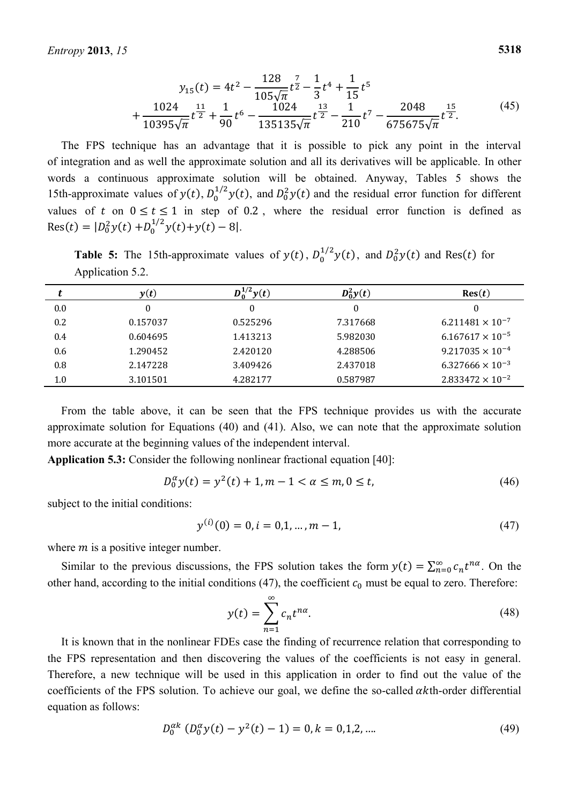$$
y_{15}(t) = 4t^2 - \frac{128}{105\sqrt{\pi}}t^{\frac{7}{2}} - \frac{1}{3}t^4 + \frac{1}{15}t^5
$$
  
+ 
$$
\frac{1024}{10395\sqrt{\pi}}t^{\frac{11}{2}} + \frac{1}{90}t^6 - \frac{1024}{135135\sqrt{\pi}}t^{\frac{13}{2}} - \frac{1}{210}t^7 - \frac{2048}{675675\sqrt{\pi}}t^{\frac{15}{2}}.
$$
 (45)

The FPS technique has an advantage that it is possible to pick any point in the interval of integration and as well the approximate solution and all its derivatives will be applicable. In other words a continuous approximate solution will be obtained. Anyway, Tables 5 shows the 15th-approximate values of  $y(t)$ ,  $D_0^{1/2}y(t)$ , and  $D_0^2y(t)$  and the residual error function for different values of t on  $0 \le t \le 1$  in step of 0.2, where the residual error function is defined as Res $(t) = |D_0^2 y(t) + D_0^{1/2} y(t) + y(t) - 8|$ .

**Table 5:** The 15th-approximate values of  $y(t)$ ,  $D_0^{1/2}y(t)$ , and  $D_0^2y(t)$  and Res(*t*) for Application 5.2.

|     | y(t)     | $\mathbf{y}(t)$ | $D_0^2y(t)$ | Res(t)                    |
|-----|----------|-----------------|-------------|---------------------------|
| 0.0 | 0        | 0               | $\Omega$    | 0                         |
| 0.2 | 0.157037 | 0.525296        | 7.317668    | $6.211481 \times 10^{-7}$ |
| 0.4 | 0.604695 | 1.413213        | 5.982030    | $6.167617 \times 10^{-5}$ |
| 0.6 | 1.290452 | 2.420120        | 4.288506    | $9.217035 \times 10^{-4}$ |
| 0.8 | 2.147228 | 3.409426        | 2.437018    | $6.327666 \times 10^{-3}$ |
| 1.0 | 3.101501 | 4.282177        | 0.587987    | $2.833472 \times 10^{-2}$ |
|     |          |                 |             |                           |

From the table above, it can be seen that the FPS technique provides us with the accurate approximate solution for Equations (40) and (41). Also, we can note that the approximate solution more accurate at the beginning values of the independent interval.

**Application 5.3:** Consider the following nonlinear fractional equation [40]:

$$
D_0^{\alpha} y(t) = y^2(t) + 1, m - 1 < \alpha \le m, 0 \le t,\tag{46}
$$

subject to the initial conditions:

$$
y^{(i)}(0) = 0, i = 0, 1, ..., m - 1,
$$
\n(47)

where  $m$  is a positive integer number.

Similar to the previous discussions, the FPS solution takes the form  $y(t) = \sum_{n=0}^{\infty} c_n t^{n\alpha}$ . On the other hand, according to the initial conditions (47), the coefficient  $c_0$  must be equal to zero. Therefore:

$$
y(t) = \sum_{n=1}^{\infty} c_n t^{n\alpha}.
$$
 (48)

It is known that in the nonlinear FDEs case the finding of recurrence relation that corresponding to the FPS representation and then discovering the values of the coefficients is not easy in general. Therefore, a new technique will be used in this application in order to find out the value of the coefficients of the FPS solution. To achieve our goal, we define the so-called  $\alpha$ kth-order differential equation as follows:

$$
D_0^{\alpha k} \left( D_0^{\alpha} y(t) - y^2(t) - 1 \right) = 0, k = 0, 1, 2, \dots \tag{49}
$$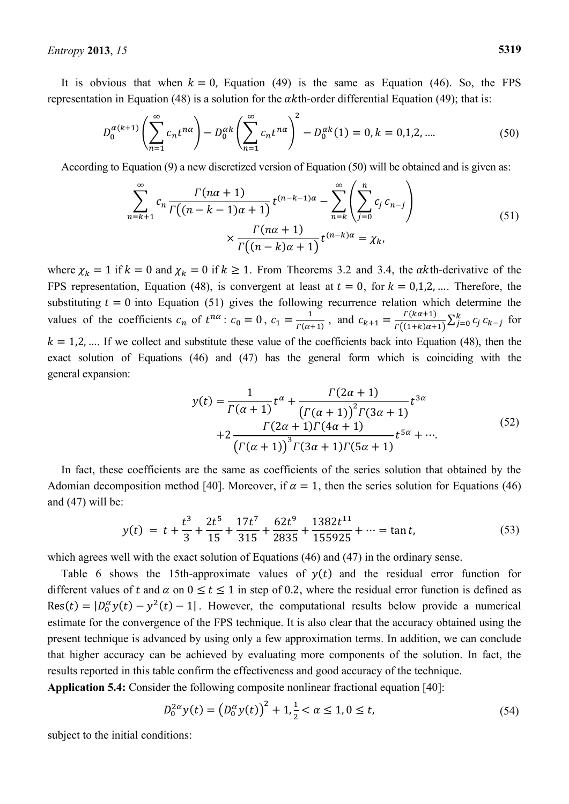It is obvious that when  $k = 0$ , Equation (49) is the same as Equation (46). So, the FPS representation in Equation (48) is a solution for the  $\alpha$ kth-order differential Equation (49); that is:

$$
D_0^{\alpha(k+1)}\left(\sum_{n=1}^{\infty} c_n t^{n\alpha}\right) - D_0^{\alpha k}\left(\sum_{n=1}^{\infty} c_n t^{n\alpha}\right)^2 - D_0^{\alpha k}(1) = 0, k = 0, 1, 2, .... \tag{50}
$$

According to Equation (9) a new discretized version of Equation (50) will be obtained and is given as:

$$
\sum_{n=k+1}^{\infty} c_n \frac{\Gamma(n\alpha+1)}{\Gamma((n-k-1)\alpha+1)} t^{(n-k-1)\alpha} - \sum_{n=k}^{\infty} \left( \sum_{j=0}^n c_j c_{n-j} \right)
$$
\n
$$
\times \frac{\Gamma(n\alpha+1)}{\Gamma((n-k)\alpha+1)} t^{(n-k)\alpha} = \chi_k,
$$
\n(51)

where  $\chi_k = 1$  if  $k = 0$  and  $\chi_k = 0$  if  $k \ge 1$ . From Theorems 3.2 and 3.4, the  $\alpha k$ th-derivative of the FPS representation, Equation (48), is convergent at least at  $t = 0$ , for  $k = 0,1,2,...$  Therefore, the substituting  $t = 0$  into Equation (51) gives the following recurrence relation which determine the values of the coefficients  $c_n$  of  $t^{n\alpha}$ :  $c_0 = 0$ ,  $c_1 = \frac{1}{r(c)}$  $\frac{1}{\Gamma(\alpha+1)}$ , and  $c_{k+1} = \frac{r}{\Gamma(\alpha+1)}$  $\boldsymbol{l}$  $\int_{j=0}^{k} c_j c_{k-j}$  for  $k = 1, 2, \dots$  If we collect and substitute these value of the coefficients back into Equation (48), then the exact solution of Equations (46) and (47) has the general form which is coinciding with the general expansion:

$$
y(t) = \frac{1}{\Gamma(\alpha+1)} t^{\alpha} + \frac{\Gamma(2\alpha+1)}{(\Gamma(\alpha+1))^{2} \Gamma(3\alpha+1)} t^{3\alpha}
$$
  
+2\frac{\Gamma(2\alpha+1)\Gamma(4\alpha+1)}{(\Gamma(\alpha+1))^{3} \Gamma(3\alpha+1)\Gamma(5\alpha+1)} t^{5\alpha} + \cdots. (52)

In fact, these coefficients are the same as coefficients of the series solution that obtained by the Adomian decomposition method [40]. Moreover, if  $\alpha = 1$ , then the series solution for Equations (46) and (47) will be:

$$
y(t) = t + \frac{t^3}{3} + \frac{2t^5}{15} + \frac{17t^7}{315} + \frac{62t^9}{2835} + \frac{1382t^{11}}{155925} + \dots = \tan t,\tag{53}
$$

which agrees well with the exact solution of Equations (46) and (47) in the ordinary sense.

Table 6 shows the 15th-approximate values of  $y(t)$  and the residual error function for different values of t and  $\alpha$  on  $0 \le t \le 1$  in step of 0.2, where the residual error function is defined as  $\text{Res}(t) = |D_0^{\alpha} y(t) - y^2(t) - 1|$ . However, the computational results below provide a numerical estimate for the convergence of the FPS technique. It is also clear that the accuracy obtained using the present technique is advanced by using only a few approximation terms. In addition, we can conclude that higher accuracy can be achieved by evaluating more components of the solution. In fact, the results reported in this table confirm the effectiveness and good accuracy of the technique.

**Application 5.4:** Consider the following composite nonlinear fractional equation [40]:

$$
D_0^{2\alpha} y(t) = (D_0^{\alpha} y(t))^2 + 1, \frac{1}{2} < \alpha \le 1, 0 \le t,
$$
\n(54)

subject to the initial conditions: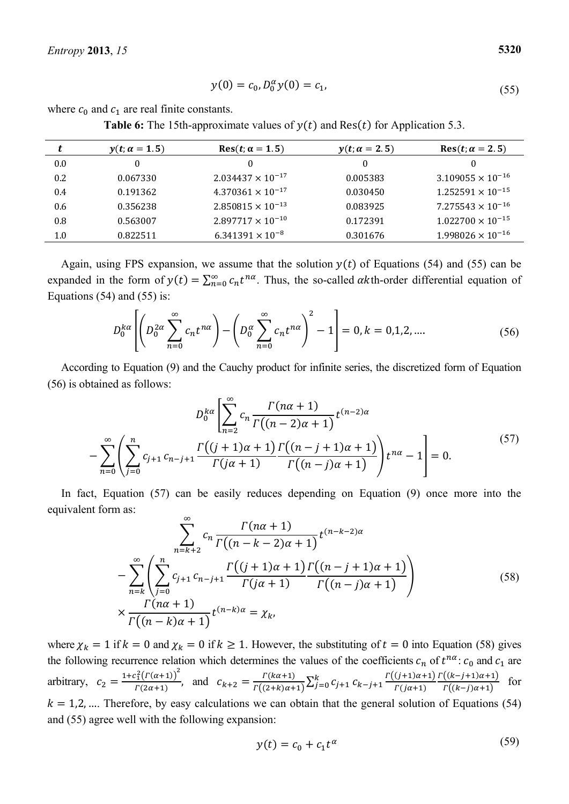$$
y(0) = c_0, D_0^{\alpha} y(0) = c_1,
$$
\n(55)

where  $c_0$  and  $c_1$  are real finite constants.

**Table 6:** The 15th-approximate values of  $y(t)$  and Res $(t)$  for Application 5.3.

| t   | $y(t; \alpha = 1.5)$ | $Res(t; \alpha = 1.5)$     | $y(t; \alpha = 2.5)$ | $Res(t; \alpha = 2.5)$     |
|-----|----------------------|----------------------------|----------------------|----------------------------|
| 0.0 | 0                    | $\Omega$                   | 0                    |                            |
| 0.2 | 0.067330             | $2.034437 \times 10^{-17}$ | 0.005383             | $3.109055 \times 10^{-16}$ |
| 0.4 | 0.191362             | $4.370361 \times 10^{-17}$ | 0.030450             | $1.252591 \times 10^{-15}$ |
| 0.6 | 0.356238             | $2.850815 \times 10^{-13}$ | 0.083925             | $7.275543 \times 10^{-16}$ |
| 0.8 | 0.563007             | $2.897717 \times 10^{-10}$ | 0.172391             | $1.022700 \times 10^{-15}$ |
| 1.0 | 0.822511             | $6.341391 \times 10^{-8}$  | 0.301676             | $1.998026 \times 10^{-16}$ |

Again, using FPS expansion, we assume that the solution  $y(t)$  of Equations (54) and (55) can be expanded in the form of  $y(t) = \sum_{n=0}^{\infty} c_n t^{n\alpha}$ . Thus, the so-called  $\alpha$ kth-order differential equation of Equations  $(54)$  and  $(55)$  is:

$$
D_0^{ka} \left[ \left( D_0^{2\alpha} \sum_{n=0}^{\infty} c_n t^{n\alpha} \right) - \left( D_0^{\alpha} \sum_{n=0}^{\infty} c_n t^{n\alpha} \right)^2 - 1 \right] = 0, k = 0, 1, 2, .... \tag{56}
$$

According to Equation (9) and the Cauchy product for infinite series, the discretized form of Equation (56) is obtained as follows:

$$
D_0^{k\alpha} \left[ \sum_{n=2}^{\infty} c_n \frac{\Gamma(n\alpha+1)}{\Gamma((n-2)\alpha+1)} t^{(n-2)\alpha} - \sum_{n=0}^{\infty} \left( \sum_{j=0}^n c_{j+1} c_{n-j+1} \frac{\Gamma((j+1)\alpha+1)}{\Gamma(j\alpha+1)} \frac{\Gamma((n-j+1)\alpha+1)}{\Gamma((n-j)\alpha+1)} \right) t^{n\alpha} - 1 \right] = 0.
$$
 (57)

In fact, Equation (57) can be easily reduces depending on Equation (9) once more into the equivalent form as:

$$
\sum_{n=k+2}^{\infty} c_n \frac{\Gamma(n\alpha+1)}{\Gamma((n-k-2)\alpha+1)} t^{(n-k-2)\alpha}
$$
  

$$
-\sum_{n=k}^{\infty} \left( \sum_{j=0}^{n} c_{j+1} c_{n-j+1} \frac{\Gamma((j+1)\alpha+1)\Gamma((n-j+1)\alpha+1)}{\Gamma(j\alpha+1)} \right) \times \frac{\Gamma(n\alpha+1)}{\Gamma((n-k)\alpha+1)} t^{(n-k)\alpha} = \chi_k,
$$
 (58)

where  $\chi_k = 1$  if  $k = 0$  and  $\chi_k = 0$  if  $k \ge 1$ . However, the substituting of  $t = 0$  into Equation (58) gives the following recurrence relation which determines the values of the coefficients  $c_n$  of  $t^{n\alpha}$ :  $c_0$  and  $c_1$  are arbitrary,  $c_2 = \frac{1 + c_1^2 (r(\alpha + 1))^2}{r(2\alpha + 1)}$  $\frac{c_1^2(I'(\alpha+1))}{\Gamma(2\alpha+1)}$ , and  $c_{k+2} = \frac{I'}{\Gamma(i)}$  $\boldsymbol{l}$ k<br>j Ľ  $\boldsymbol{l}$  $\frac{\Gamma((k-j+1)\alpha+1)}{\Gamma((k-j)\alpha+1)}$  for  $k = 1, 2, \dots$ . Therefore, by easy calculations we can obtain that the general solution of Equations (54) and (55) agree well with the following expansion:

$$
y(t) = c_0 + c_1 t^{\alpha} \tag{59}
$$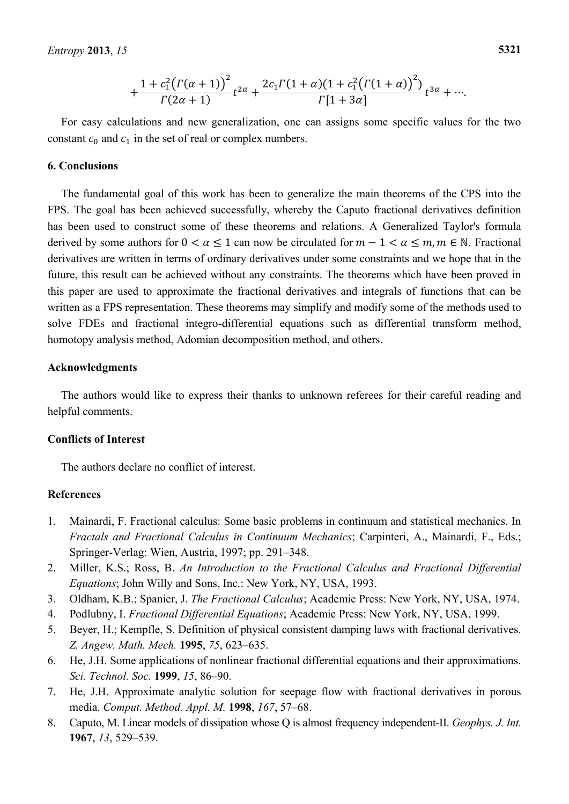$$
+\frac{1+c_1^2(\Gamma(\alpha+1))^2}{\Gamma(2\alpha+1)}t^{2\alpha}+\frac{2c_1\Gamma(1+\alpha)(1+c_1^2(\Gamma(1+\alpha))^2)}{\Gamma[1+3\alpha]}t^{3\alpha}+\cdots
$$

For easy calculations and new generalization, one can assigns some specific values for the two constant  $c_0$  and  $c_1$  in the set of real or complex numbers.

### **6. Conclusions**

The fundamental goal of this work has been to generalize the main theorems of the CPS into the FPS. The goal has been achieved successfully, whereby the Caputo fractional derivatives definition has been used to construct some of these theorems and relations. A Generalized Taylor's formula derived by some authors for  $0 < \alpha \le 1$  can now be circulated for  $m - 1 < \alpha \le m, m \in \mathbb{N}$ . Fractional derivatives are written in terms of ordinary derivatives under some constraints and we hope that in the future, this result can be achieved without any constraints. The theorems which have been proved in this paper are used to approximate the fractional derivatives and integrals of functions that can be written as a FPS representation. These theorems may simplify and modify some of the methods used to solve FDEs and fractional integro-differential equations such as differential transform method, homotopy analysis method, Adomian decomposition method, and others.

### **Acknowledgments**

The authors would like to express their thanks to unknown referees for their careful reading and helpful comments.

### **Conflicts of Interest**

The authors declare no conflict of interest.

### **References**

- 1. Mainardi, F. Fractional calculus: Some basic problems in continuum and statistical mechanics. In *Fractals and Fractional Calculus in Continuum Mechanics*; Carpinteri, A., Mainardi, F., Eds.; Springer-Verlag: Wien, Austria, 1997; pp. 291–348.
- 2. Miller, K.S.; Ross, B. *An Introduction to the Fractional Calculus and Fractional Differential Equations*; John Willy and Sons, Inc.: New York, NY, USA, 1993.
- 3. Oldham, K.B.; Spanier, J. *The Fractional Calculus*; Academic Press: New York, NY, USA, 1974.
- 4. Podlubny, I. *Fractional Differential Equations*; Academic Press: New York, NY, USA, 1999.
- 5. Beyer, H.; Kempfle, S. Definition of physical consistent damping laws with fractional derivatives. *Z. Angew. Math. Mech.* **1995**, *75*, 623–635.
- 6. He, J.H. Some applications of nonlinear fractional differential equations and their approximations*. Sci. Technol. Soc.* **1999**, *15*, 86–90.
- 7. He, J.H. Approximate analytic solution for seepage flow with fractional derivatives in porous media. *Comput. Method. Appl. M.* **1998**, *167*, 57–68.
- 8. Caputo, M. Linear models of dissipation whose Q is almost frequency independent-II. *Geophys. J. Int.*  **1967**, *13*, 529–539.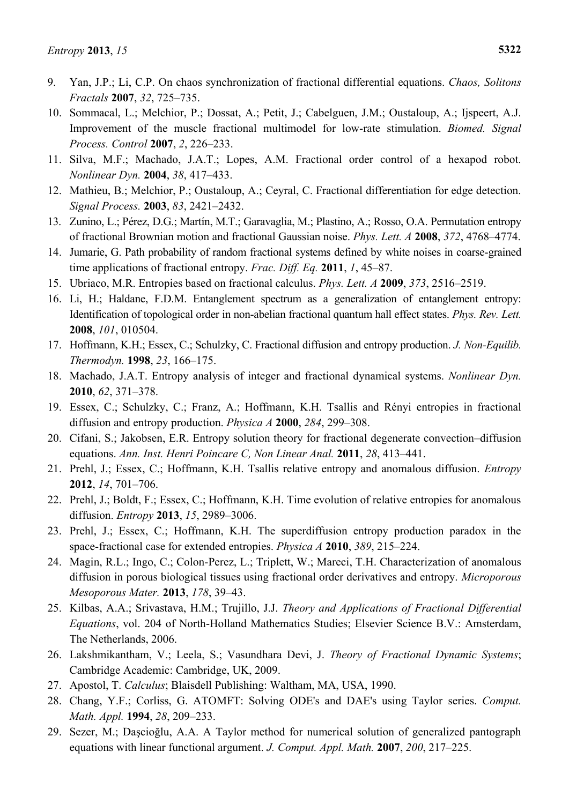- 9. Yan, J.P.; Li, C.P. On chaos synchronization of fractional differential equations. *Chaos, Solitons Fractals* **2007**, *32*, 725–735.
- 10. Sommacal, L.; Melchior, P.; Dossat, A.; Petit, J.; Cabelguen, J.M.; Oustaloup, A.; Ijspeert, A.J. Improvement of the muscle fractional multimodel for low-rate stimulation. *[Biomed. Signal](http://www.sciencedirect.com/science/journal/17468094)  [Process. Control](http://www.sciencedirect.com/science/journal/17468094)* **2007**, *2*, 226–233.
- 11. Silva, M.F.; Machado, J.A.T.; Lopes, A.M. Fractional order control of a hexapod robot. *[Nonlinear Dyn.](http://link.springer.com/journal/11071)* **2004**, *38*, 417–433.
- 12. Mathieu, B.; Melchior, P.; Oustaloup, A.; Ceyral, C. Fractional differentiation for edge detection. *[Signal Process.](http://www.sciencedirect.com/science/journal/01651684)* **2003**, *83*, 2421–2432.
- 13. Zunino, L.; Pérez, D.G.; Martín, M.T.; Garavaglia, M.; Plastino, A.; Rosso, O.A. Permutation entropy of fractional Brownian motion and fractional Gaussian noise. *[Phys. Lett. A](http://www.sciencedirect.com/science/journal/03759601)* **2008**, *372*, 4768–4774.
- 14. Jumarie, G. Path probability of random fractional systems defined by white noises in coarse-grained time applications of fractional entropy. *Frac. Diff. Eq.* **2011**, *1*, 45–87.
- 15. Ubriaco, M.R. Entropies based on fractional calculus. *[Phys. Lett. A](http://www.sciencedirect.com/science/journal/03759601)* **2009**, *373*, 2516–2519.
- 16. Li, H.; Haldane, F.D.M. Entanglement spectrum as a generalization of entanglement entropy: Identification of topological order in non-abelian fractional quantum hall effect states. *Phys. Rev. Lett.*  **2008**, *101*, 010504.
- 17. Hoffmann, K.H.; Essex, C.; Schulzky, C. Fractional diffusion and entropy production. *J. Non-Equilib. Thermodyn.* **1998**, *23*, 166–175.
- 18. Machado, J.A.T. Entropy analysis of integer and fractional dynamical systems. *[Nonlinear Dyn.](http://link.springer.com/journal/11071)*  **2010**, *62*, 371–378.
- 19. Essex, C.; Schulzky, C.; Franz, A.; Hoffmann, K.H. Tsallis and Rényi entropies in fractional diffusion and entropy production. *[Physica A](http://www.sciencedirect.com/science/journal/03784371)* **2000**, *284*, 299–308.
- 20. Cifani, S.; Jakobsen, E.R. Entropy solution theory for fractional degenerate convection–diffusion equations. *Ann. Inst. Henri Poincare C, Non Linear Anal.* **2011**, *28*, 413–441.
- 21. Prehl, J.; Essex, C.; Hoffmann, K.H. Tsallis relative entropy and anomalous diffusion. *Entropy*  **2012**, *14*, 701–706.
- 22. Prehl, J.; Boldt, F.; Essex, C.; Hoffmann, K.H. Time evolution of relative entropies for anomalous diffusion. *Entropy* **2013**, *15*, 2989–3006.
- 23. Prehl, J.; Essex, C.; Hoffmann, K.H. The superdiffusion entropy production paradox in the space-fractional case for extended entropies. *[Physica A](http://www.sciencedirect.com/science/journal/03784371)* **2010**, *389*, 215–224.
- 24. Magin, R.L.; Ingo, C.; Colon-Perez, L.; Triplett, W.; Mareci, T.H. Characterization of anomalous diffusion in porous biological tissues using fractional order derivatives and entropy. *Microporous Mesoporous Mater.* **2013**, *178*, 39–43.
- 25. Kilbas, A.A.; Srivastava, H.M.; Trujillo, J.J. *Theory and Applications of Fractional Differential Equations*, vol. 204 of North-Holland Mathematics Studies; Elsevier Science B.V.: Amsterdam, The Netherlands, 2006.
- 26. Lakshmikantham, V.; Leela, S.; Vasundhara Devi, J. *Theory of Fractional Dynamic Systems*; Cambridge Academic: Cambridge, UK, 2009.
- 27. Apostol, T. *Calculus*; Blaisdell Publishing: Waltham, MA, USA, 1990.
- 28. Chang, Y.F.; Corliss, G. ATOMFT: Solving ODE's and DAE's using Taylor series. *Comput. Math. Appl.* **1994**, *28*, 209–233.
- 29. Sezer, M.; Daşcioğlu, A.A. A Taylor method for numerical solution of generalized pantograph equations with linear functional argument. *J. Comput. Appl. Math.* **2007**, *200*, 217–225.